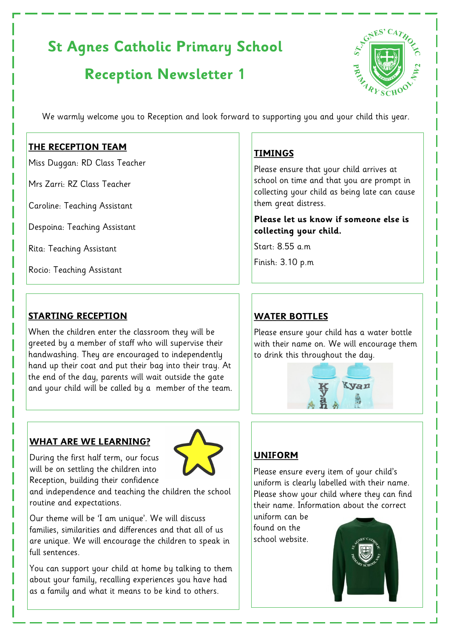# **St Agnes Catholic Primary School**

# **Reception Newsletter 1**



We warmly welcome you to Reception and look forward to supporting you and your child this year.

#### **THE RECEPTION TEAM**

Miss Duggan: RD Class Teacher

Mrs Zarri: RZ Class Teacher

Caroline: Teaching Assistant

Despoina: Teaching Assistant

Rita: Teaching Assistant

Rocio: Teaching Assistant

## **STARTING RECEPTION**

When the children enter the classroom they will be greeted by a member of staff who will supervise their handwashing. They are encouraged to independently hand up their coat and put their bag into their tray. At the end of the day, parents will wait outside the gate and your child will be called by a member of the team.

### **WHAT ARE WE LEARNING?**



During the first half term, our focus will be on settling the children into Reception, building their confidence

and independence and teaching the children the school routine and expectations.

Our theme will be 'I am unique'. We will discuss families, similarities and differences and that all of us are unique. We will encourage the children to speak in full sentences.

You can support your child at home by talking to them about your family, recalling experiences you have had as a family and what it means to be kind to others.

# **TIMINGS**

Please ensure that your child arrives at school on time and that you are prompt in collecting your child as being late can cause them great distress.

#### **Please let us know if someone else is collecting your child.**

Start: 8.55 a.m

Finish: 3.10 p.m

# **WATER BOTTLES**

Please ensure your child has a water bottle with their name on. We will encourage them to drink this throughout the day.



# **UNIFORM**

Please ensure every item of your child's uniform is clearly labelled with their name. Please show your child where they can find their name. Information about the correct

uniform can be found on the school website.